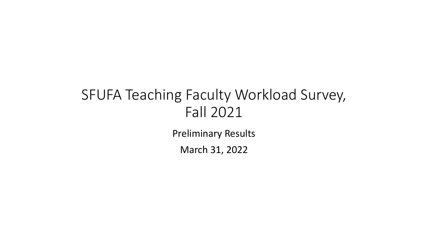# SFUFA Teaching Faculty Workload Survey, Fall 2021

Preliminary Results

March 31, 2022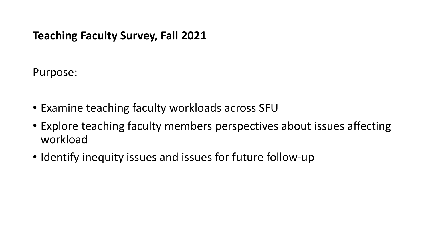## **Teaching Faculty Survey, Fall 2021**

Purpose:

- Examine teaching faculty workloads across SFU
- Explore teaching faculty members perspectives about issues affecting workload
- Identify inequity issues and issues for future follow-up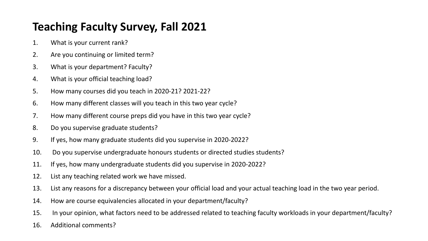# **Teaching Faculty Survey, Fall 2021**

- 1. What is your current rank?
- 2. Are you continuing or limited term?
- 3. What is your department? Faculty?
- 4. What is your official teaching load?
- 5. How many courses did you teach in 2020-21? 2021-22?
- 6. How many different classes will you teach in this two year cycle?
- 7. How many different course preps did you have in this two year cycle?
- 8. Do you supervise graduate students?
- 9. If yes, how many graduate students did you supervise in 2020-2022?
- 10. Do you supervise undergraduate honours students or directed studies students?
- 11. If yes, how many undergraduate students did you supervise in 2020-2022?
- 12. List any teaching related work we have missed.
- 13. List any reasons for a discrepancy between your official load and your actual teaching load in the two year period.
- 14. How are course equivalencies allocated in your department/faculty?
- 15. In your opinion, what factors need to be addressed related to teaching faculty workloads in your department/faculty?
- 16. Additional comments?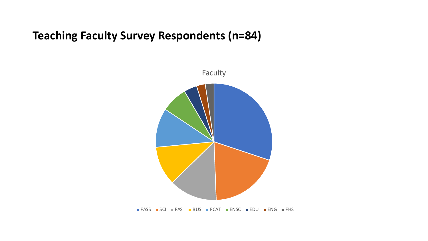#### **Teaching Faculty Survey Respondents (n=84)**



FASS SCI FAS BUS FCAT ENSC EDU ENG FHS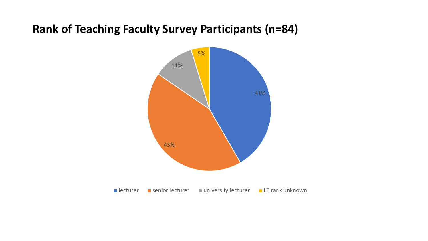#### **Rank of Teaching Faculty Survey Participants (n=84)**

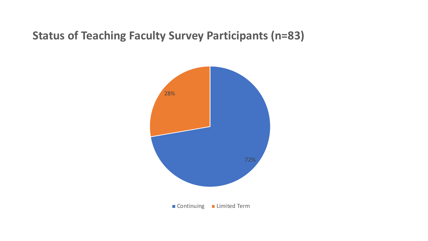#### **Status of Teaching Faculty Survey Participants (n=83)**

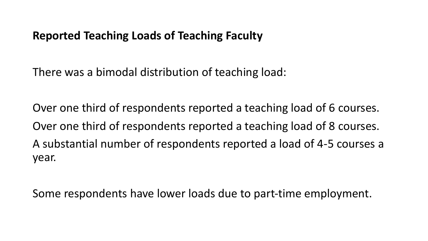#### **Reported Teaching Loads of Teaching Faculty**

There was a bimodal distribution of teaching load:

Over one third of respondents reported a teaching load of 6 courses. Over one third of respondents reported a teaching load of 8 courses. A substantial number of respondents reported a load of 4-5 courses a year.

Some respondents have lower loads due to part-time employment.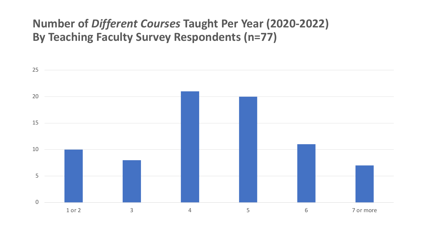## **Number of** *Different Courses* **Taught Per Year (2020-2022) By Teaching Faculty Survey Respondents (n=77)**

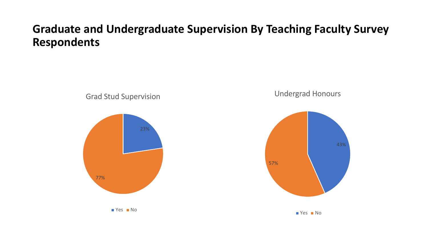## **Graduate and Undergraduate Supervision By Teaching Faculty Survey Respondents**

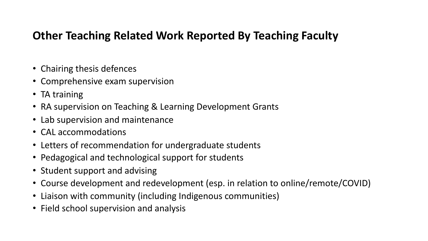#### **Other Teaching Related Work Reported By Teaching Faculty**

- Chairing thesis defences
- Comprehensive exam supervision
- TA training
- RA supervision on Teaching & Learning Development Grants
- Lab supervision and maintenance
- CAL accommodations
- Letters of recommendation for undergraduate students
- Pedagogical and technological support for students
- Student support and advising
- Course development and redevelopment (esp. in relation to online/remote/COVID)
- Liaison with community (including Indigenous communities)
- Field school supervision and analysis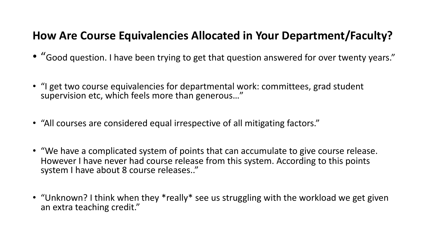#### **How Are Course Equivalencies Allocated in Your Department/Faculty?**

- "Good question. I have been trying to get that question answered for over twenty years."
- "I get two course equivalencies for departmental work: committees, grad student supervision etc, which feels more than generous…"
- "All courses are considered equal irrespective of all mitigating factors."
- "We have a complicated system of points that can accumulate to give course release. However I have never had course release from this system. According to this points system I have about 8 course releases.."
- "Unknown? I think when they \*really\* see us struggling with the workload we get given an extra teaching credit."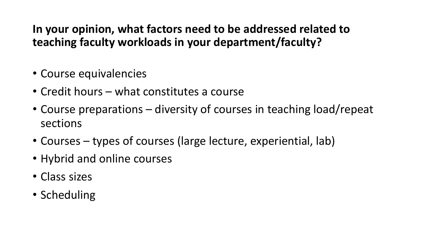# **In your opinion, what factors need to be addressed related to teaching faculty workloads in your department/faculty?**

- Course equivalencies
- Credit hours what constitutes a course
- Course preparations diversity of courses in teaching load/repeat sections
- Courses types of courses (large lecture, experiential, lab)
- Hybrid and online courses
- Class sizes
- Scheduling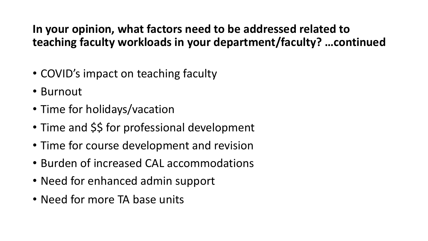# **In your opinion, what factors need to be addressed related to teaching faculty workloads in your department/faculty? …continued**

- COVID's impact on teaching faculty
- Burnout
- Time for holidays/vacation
- Time and \$\$ for professional development
- Time for course development and revision
- Burden of increased CAL accommodations
- Need for enhanced admin support
- Need for more TA base units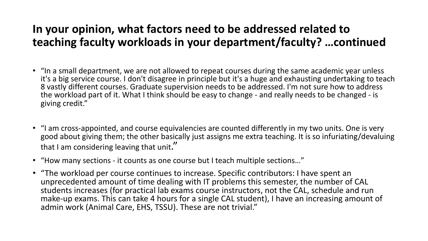# **In your opinion, what factors need to be addressed related to teaching faculty workloads in your department/faculty? …continued**

- "In a small department, we are not allowed to repeat courses during the same academic year unless it's a big service course. I don't disagree in principle but it's a huge and exhausting undertaking to teach 8 vastly different courses. Graduate supervision needs to be addressed. I'm not sure how to address the workload part of it. What I think should be easy to change - and really needs to be changed - is giving credit."
- "I am cross-appointed, and course equivalencies are counted differently in my two units. One is very good about giving them; the other basically just assigns me extra teaching. It is so infuriating/devaluing that I am considering leaving that unit."
- "How many sections it counts as one course but I teach multiple sections…"
- "The workload per course continues to increase. Specific contributors: I have spent an unprecedented amount of time dealing with IT problems this semester, the number of CAL students increases (for practical lab exams course instructors, not the CAL, schedule and run make-up exams. This can take 4 hours for a single CAL student), I have an increasing amount of admin work (Animal Care, EHS, TSSU). These are not trivial."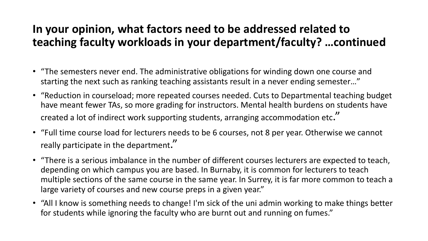# **In your opinion, what factors need to be addressed related to teaching faculty workloads in your department/faculty? …continued**

- "The semesters never end. The administrative obligations for winding down one course and starting the next such as ranking teaching assistants result in a never ending semester…"
- "Reduction in courseload; more repeated courses needed. Cuts to Departmental teaching budget have meant fewer TAs, so more grading for instructors. Mental health burdens on students have created a lot of indirect work supporting students, arranging accommodation etc."
- "Full time course load for lecturers needs to be 6 courses, not 8 per year. Otherwise we cannot really participate in the department."
- "There is a serious imbalance in the number of different courses lecturers are expected to teach, depending on which campus you are based. In Burnaby, it is common for lecturers to teach multiple sections of the same course in the same year. In Surrey, it is far more common to teach a large variety of courses and new course preps in a given year."
- "All I know is something needs to change! I'm sick of the uni admin working to make things better for students while ignoring the faculty who are burnt out and running on fumes."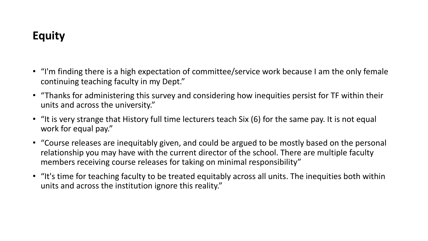# **Equity**

- "I'm finding there is a high expectation of committee/service work because I am the only female continuing teaching faculty in my Dept."
- "Thanks for administering this survey and considering how inequities persist for TF within their units and across the university."
- "It is very strange that History full time lecturers teach Six (6) for the same pay. It is not equal work for equal pay."
- "Course releases are inequitably given, and could be argued to be mostly based on the personal relationship you may have with the current director of the school. There are multiple faculty members receiving course releases for taking on minimal responsibility"
- "It's time for teaching faculty to be treated equitably across all units. The inequities both within units and across the institution ignore this reality."